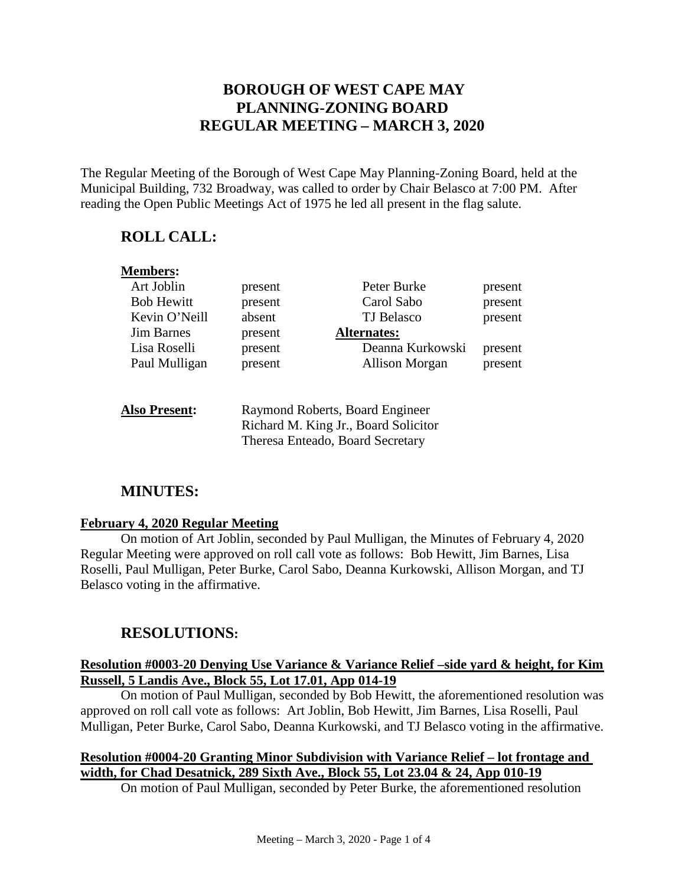# **BOROUGH OF WEST CAPE MAY PLANNING-ZONING BOARD REGULAR MEETING – MARCH 3, 2020**

The Regular Meeting of the Borough of West Cape May Planning-Zoning Board, held at the Municipal Building, 732 Broadway, was called to order by Chair Belasco at 7:00 PM. After reading the Open Public Meetings Act of 1975 he led all present in the flag salute.

## **ROLL CALL:**

| <b>Members:</b>      |                                                                                                             |                  |         |
|----------------------|-------------------------------------------------------------------------------------------------------------|------------------|---------|
| Art Joblin           | present                                                                                                     | Peter Burke      | present |
| <b>Bob Hewitt</b>    | present                                                                                                     | Carol Sabo       | present |
| Kevin O'Neill        | absent                                                                                                      | TJ Belasco       | present |
| <b>Jim Barnes</b>    | present                                                                                                     | Alternates:      |         |
| Lisa Roselli         | present                                                                                                     | Deanna Kurkowski | present |
| Paul Mulligan        | present                                                                                                     | Allison Morgan   | present |
| <b>Also Present:</b> | Raymond Roberts, Board Engineer<br>Richard M. King Jr., Board Solicitor<br>Theresa Enteado, Board Secretary |                  |         |

## **MINUTES:**

#### **February 4, 2020 Regular Meeting**

On motion of Art Joblin, seconded by Paul Mulligan, the Minutes of February 4, 2020 Regular Meeting were approved on roll call vote as follows: Bob Hewitt, Jim Barnes, Lisa Roselli, Paul Mulligan, Peter Burke, Carol Sabo, Deanna Kurkowski, Allison Morgan, and TJ Belasco voting in the affirmative.

## **RESOLUTIONS:**

#### **Resolution #0003-20 Denying Use Variance & Variance Relief –side yard & height, for Kim Russell, 5 Landis Ave., Block 55, Lot 17.01, App 014-19**

On motion of Paul Mulligan, seconded by Bob Hewitt, the aforementioned resolution was approved on roll call vote as follows: Art Joblin, Bob Hewitt, Jim Barnes, Lisa Roselli, Paul Mulligan, Peter Burke, Carol Sabo, Deanna Kurkowski, and TJ Belasco voting in the affirmative.

### **Resolution #0004-20 Granting Minor Subdivision with Variance Relief – lot frontage and width, for Chad Desatnick, 289 Sixth Ave., Block 55, Lot 23.04 & 24, App 010-19**

On motion of Paul Mulligan, seconded by Peter Burke, the aforementioned resolution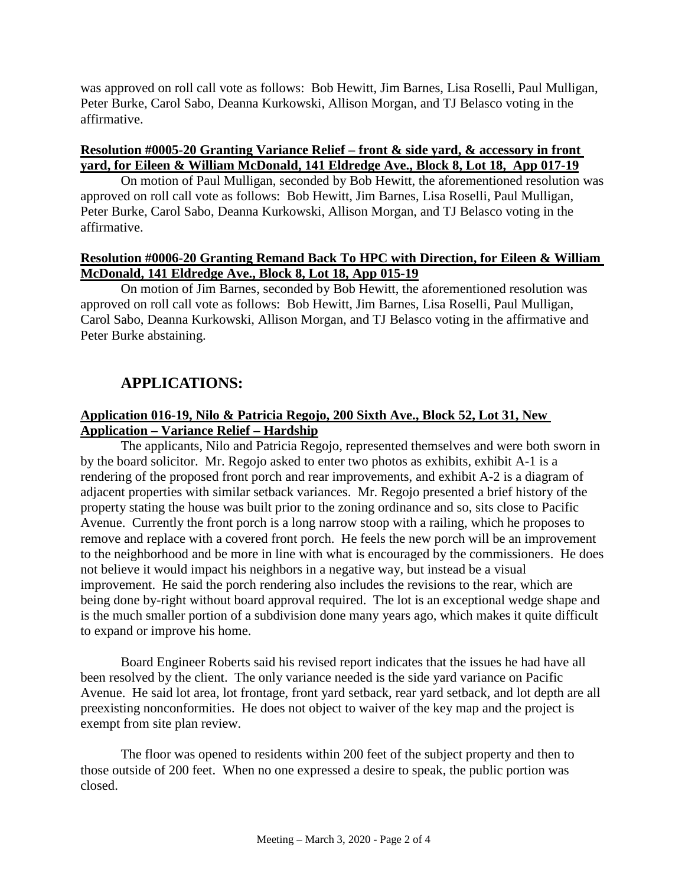was approved on roll call vote as follows: Bob Hewitt, Jim Barnes, Lisa Roselli, Paul Mulligan, Peter Burke, Carol Sabo, Deanna Kurkowski, Allison Morgan, and TJ Belasco voting in the affirmative.

## **Resolution #0005-20 Granting Variance Relief – front & side yard, & accessory in front yard, for Eileen & William McDonald, 141 Eldredge Ave., Block 8, Lot 18, App 017-19**

On motion of Paul Mulligan, seconded by Bob Hewitt, the aforementioned resolution was approved on roll call vote as follows: Bob Hewitt, Jim Barnes, Lisa Roselli, Paul Mulligan, Peter Burke, Carol Sabo, Deanna Kurkowski, Allison Morgan, and TJ Belasco voting in the affirmative.

#### **Resolution #0006-20 Granting Remand Back To HPC with Direction, for Eileen & William McDonald, 141 Eldredge Ave., Block 8, Lot 18, App 015-19**

On motion of Jim Barnes, seconded by Bob Hewitt, the aforementioned resolution was approved on roll call vote as follows: Bob Hewitt, Jim Barnes, Lisa Roselli, Paul Mulligan, Carol Sabo, Deanna Kurkowski, Allison Morgan, and TJ Belasco voting in the affirmative and Peter Burke abstaining.

# **APPLICATIONS:**

### **Application 016-19, Nilo & Patricia Regojo, 200 Sixth Ave., Block 52, Lot 31, New Application – Variance Relief – Hardship**

The applicants, Nilo and Patricia Regojo, represented themselves and were both sworn in by the board solicitor. Mr. Regojo asked to enter two photos as exhibits, exhibit A-1 is a rendering of the proposed front porch and rear improvements, and exhibit A-2 is a diagram of adjacent properties with similar setback variances. Mr. Regojo presented a brief history of the property stating the house was built prior to the zoning ordinance and so, sits close to Pacific Avenue. Currently the front porch is a long narrow stoop with a railing, which he proposes to remove and replace with a covered front porch. He feels the new porch will be an improvement to the neighborhood and be more in line with what is encouraged by the commissioners. He does not believe it would impact his neighbors in a negative way, but instead be a visual improvement. He said the porch rendering also includes the revisions to the rear, which are being done by-right without board approval required. The lot is an exceptional wedge shape and is the much smaller portion of a subdivision done many years ago, which makes it quite difficult to expand or improve his home.

Board Engineer Roberts said his revised report indicates that the issues he had have all been resolved by the client. The only variance needed is the side yard variance on Pacific Avenue. He said lot area, lot frontage, front yard setback, rear yard setback, and lot depth are all preexisting nonconformities. He does not object to waiver of the key map and the project is exempt from site plan review.

The floor was opened to residents within 200 feet of the subject property and then to those outside of 200 feet. When no one expressed a desire to speak, the public portion was closed.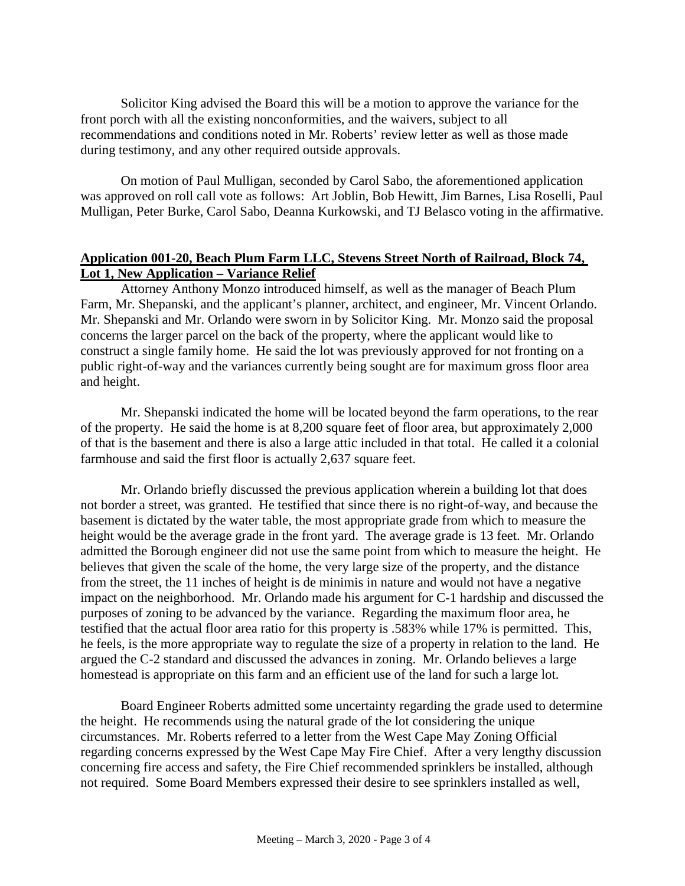Solicitor King advised the Board this will be a motion to approve the variance for the front porch with all the existing nonconformities, and the waivers, subject to all recommendations and conditions noted in Mr. Roberts' review letter as well as those made during testimony, and any other required outside approvals.

On motion of Paul Mulligan, seconded by Carol Sabo, the aforementioned application was approved on roll call vote as follows: Art Joblin, Bob Hewitt, Jim Barnes, Lisa Roselli, Paul Mulligan, Peter Burke, Carol Sabo, Deanna Kurkowski, and TJ Belasco voting in the affirmative.

#### **Application 001-20, Beach Plum Farm LLC, Stevens Street North of Railroad, Block 74, Lot 1, New Application – Variance Relief**

Attorney Anthony Monzo introduced himself, as well as the manager of Beach Plum Farm, Mr. Shepanski, and the applicant's planner, architect, and engineer, Mr. Vincent Orlando. Mr. Shepanski and Mr. Orlando were sworn in by Solicitor King. Mr. Monzo said the proposal concerns the larger parcel on the back of the property, where the applicant would like to construct a single family home. He said the lot was previously approved for not fronting on a public right-of-way and the variances currently being sought are for maximum gross floor area and height.

Mr. Shepanski indicated the home will be located beyond the farm operations, to the rear of the property. He said the home is at 8,200 square feet of floor area, but approximately 2,000 of that is the basement and there is also a large attic included in that total. He called it a colonial farmhouse and said the first floor is actually 2,637 square feet.

Mr. Orlando briefly discussed the previous application wherein a building lot that does not border a street, was granted. He testified that since there is no right-of-way, and because the basement is dictated by the water table, the most appropriate grade from which to measure the height would be the average grade in the front yard. The average grade is 13 feet. Mr. Orlando admitted the Borough engineer did not use the same point from which to measure the height. He believes that given the scale of the home, the very large size of the property, and the distance from the street, the 11 inches of height is de minimis in nature and would not have a negative impact on the neighborhood. Mr. Orlando made his argument for C-1 hardship and discussed the purposes of zoning to be advanced by the variance. Regarding the maximum floor area, he testified that the actual floor area ratio for this property is .583% while 17% is permitted. This, he feels, is the more appropriate way to regulate the size of a property in relation to the land. He argued the C-2 standard and discussed the advances in zoning. Mr. Orlando believes a large homestead is appropriate on this farm and an efficient use of the land for such a large lot.

Board Engineer Roberts admitted some uncertainty regarding the grade used to determine the height. He recommends using the natural grade of the lot considering the unique circumstances. Mr. Roberts referred to a letter from the West Cape May Zoning Official regarding concerns expressed by the West Cape May Fire Chief. After a very lengthy discussion concerning fire access and safety, the Fire Chief recommended sprinklers be installed, although not required. Some Board Members expressed their desire to see sprinklers installed as well,